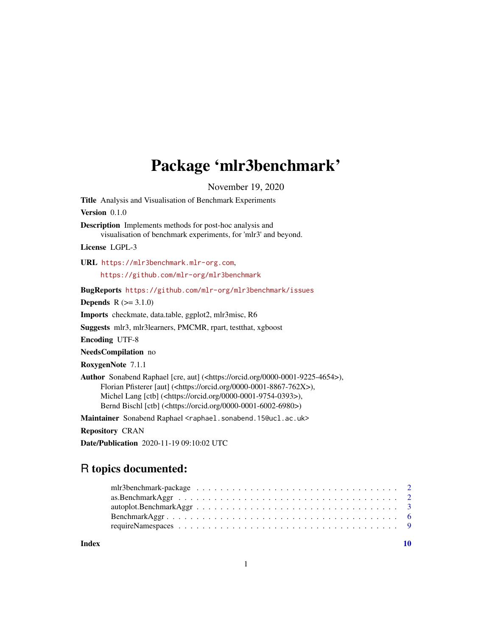## Package 'mlr3benchmark'

November 19, 2020

<span id="page-0-0"></span>Title Analysis and Visualisation of Benchmark Experiments Version 0.1.0

Description Implements methods for post-hoc analysis and visualisation of benchmark experiments, for 'mlr3' and beyond.

License LGPL-3

URL <https://mlr3benchmark.mlr-org.com>,

<https://github.com/mlr-org/mlr3benchmark>

BugReports <https://github.com/mlr-org/mlr3benchmark/issues>

**Depends**  $R (= 3.1.0)$ 

Imports checkmate, data.table, ggplot2, mlr3misc, R6

Suggests mlr3, mlr3learners, PMCMR, rpart, testthat, xgboost

Encoding UTF-8

NeedsCompilation no

RoxygenNote 7.1.1

Author Sonabend Raphael [cre, aut] (<https://orcid.org/0000-0001-9225-4654>), Florian Pfisterer [aut] (<https://orcid.org/0000-0001-8867-762X>), Michel Lang [ctb] (<https://orcid.org/0000-0001-9754-0393>), Bernd Bischl [ctb] (<https://orcid.org/0000-0001-6002-6980>)

Maintainer Sonabend Raphael <raphael.sonabend.15@ucl.ac.uk>

Repository CRAN

Date/Publication 2020-11-19 09:10:02 UTC

### R topics documented:

 $\blacksquare$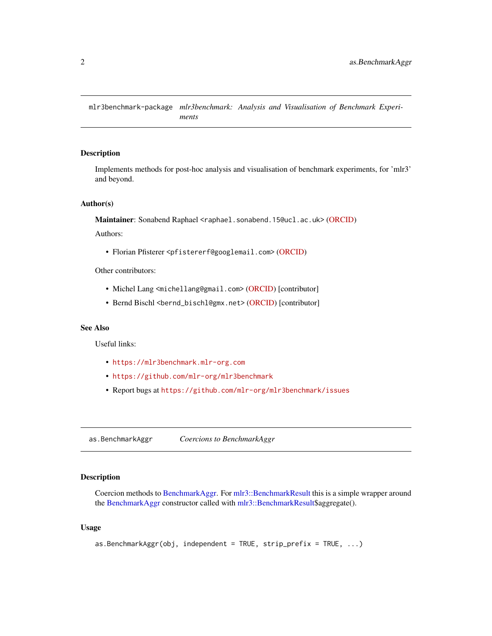<span id="page-1-0"></span>mlr3benchmark-package *mlr3benchmark: Analysis and Visualisation of Benchmark Experiments*

#### Description

Implements methods for post-hoc analysis and visualisation of benchmark experiments, for 'mlr3' and beyond.

#### Author(s)

Maintainer: Sonabend Raphael <raphael.sonabend.15@ucl.ac.uk> [\(ORCID\)](https://orcid.org/0000-0001-9225-4654)

Authors:

• Florian Pfisterer <pfistererf@googlemail.com> [\(ORCID\)](https://orcid.org/0000-0001-8867-762X)

Other contributors:

- Michel Lang <michellang@gmail.com> [\(ORCID\)](https://orcid.org/0000-0001-9754-0393) [contributor]
- Bernd Bischl <br/>bernd\_bischl@gmx.net> [\(ORCID\)](https://orcid.org/0000-0001-6002-6980) [contributor]

#### See Also

Useful links:

- <https://mlr3benchmark.mlr-org.com>
- <https://github.com/mlr-org/mlr3benchmark>
- Report bugs at <https://github.com/mlr-org/mlr3benchmark/issues>

<span id="page-1-1"></span>as.BenchmarkAggr *Coercions to BenchmarkAggr*

#### Description

Coercion methods to [BenchmarkAggr.](#page-5-1) For [mlr3::BenchmarkResult](#page-0-0) this is a simple wrapper around the [BenchmarkAggr](#page-5-1) constructor called with [mlr3::BenchmarkResult\\$](#page-0-0)aggregate().

#### Usage

```
as.BenchmarkAggr(obj, independent = TRUE, strip_prefix = TRUE, \ldots)
```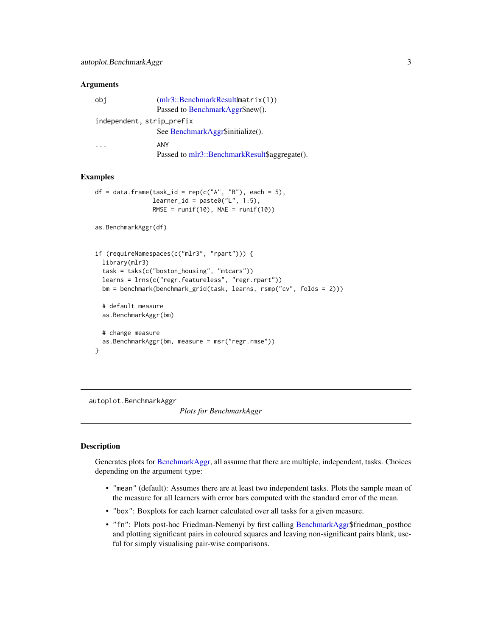#### <span id="page-2-0"></span>**Arguments**

| obi                       | $(mlr3::\text{BenchmarkResult}$ matrix $(1))$ |
|---------------------------|-----------------------------------------------|
|                           | Passed to BenchmarkAggr\$new().               |
| independent, strip_prefix |                                               |
|                           | See BenchmarkAggr\$initialize().              |
|                           | ANY                                           |
|                           | Passed to mlr3::BenchmarkResult\$aggregate(). |

#### Examples

```
df = data.frame(task_id = rep(c("A", "B"), each = 5),learner_id = paste0("L", 1:5),RMSE = runif(10), MAE = runif(10))
```

```
as.BenchmarkAggr(df)
```

```
if (requireNamespaces(c("mlr3", "rpart"))) {
 library(mlr3)
 task = tsks(c("boston_housing", "mtcars"))
 learns = lrns(c("regr.featureless", "regr.rpart"))
 bm = benchmark(benchmark_grid(task, learns, rsmp("cv", folds = 2)))
 # default measure
 as.BenchmarkAggr(bm)
 # change measure
 as.BenchmarkAggr(bm, measure = msr("regr.rmse"))
}
```
autoplot.BenchmarkAggr

*Plots for BenchmarkAggr*

#### Description

Generates plots for [BenchmarkAggr,](#page-5-1) all assume that there are multiple, independent, tasks. Choices depending on the argument type:

- "mean" (default): Assumes there are at least two independent tasks. Plots the sample mean of the measure for all learners with error bars computed with the standard error of the mean.
- "box": Boxplots for each learner calculated over all tasks for a given measure.
- "fn": Plots post-hoc Friedman-Nemenyi by first calling [BenchmarkAggr\\$](#page-5-1)friedman\_posthoc and plotting significant pairs in coloured squares and leaving non-significant pairs blank, useful for simply visualising pair-wise comparisons.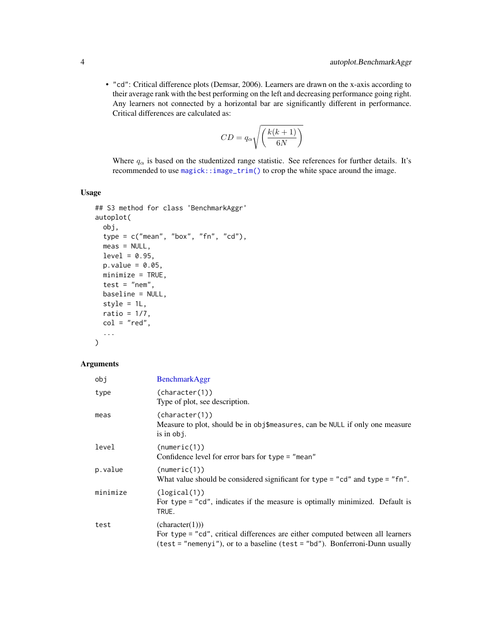<span id="page-3-0"></span>• "cd": Critical difference plots (Demsar, 2006). Learners are drawn on the x-axis according to their average rank with the best performing on the left and decreasing performance going right. Any learners not connected by a horizontal bar are significantly different in performance. Critical differences are calculated as:

$$
CD = q_{\alpha} \sqrt{\left(\frac{k(k+1)}{6N}\right)}
$$

Where  $q_{\alpha}$  is based on the studentized range statistic. See references for further details. It's recommended to use [magick::image\\_trim\(\)](#page-0-0) to crop the white space around the image.

#### Usage

```
## S3 method for class 'BenchmarkAggr'
autoplot(
 obj,
  type = c("mean", "box", "fn", "cd"),
 meas = NULL,level = 0.95,p.value = 0.05,
 minimize = TRUE,
  test = "nem",
 baseline = NULL,
  style = 1L,
  ratio = 1/7,
 col = "red",...
\mathcal{L}
```
#### Arguments

| obi      | <b>BenchmarkAggr</b>                                                                                                                                                             |
|----------|----------------------------------------------------------------------------------------------------------------------------------------------------------------------------------|
| type     | (character(1))<br>Type of plot, see description.                                                                                                                                 |
| meas     | (character(1))<br>Measure to plot, should be in obj\$measures, can be NULL if only one measure<br>is in $obj$ .                                                                  |
| level    | (numeric(1))<br>Confidence level for error bars for type = "mean"                                                                                                                |
| p.value  | (numeric(1))<br>What value should be considered significant for type = "cd" and type = "fn".                                                                                     |
| minimize | (logical(1))<br>For type = "cd", indicates if the measure is optimally minimized. Default is<br>TRUE.                                                                            |
| test     | (character(1)))<br>For type = "cd", critical differences are either computed between all learners<br>(test = "nemenyi"), or to a baseline (test = "bd"). Bonferroni-Dunn usually |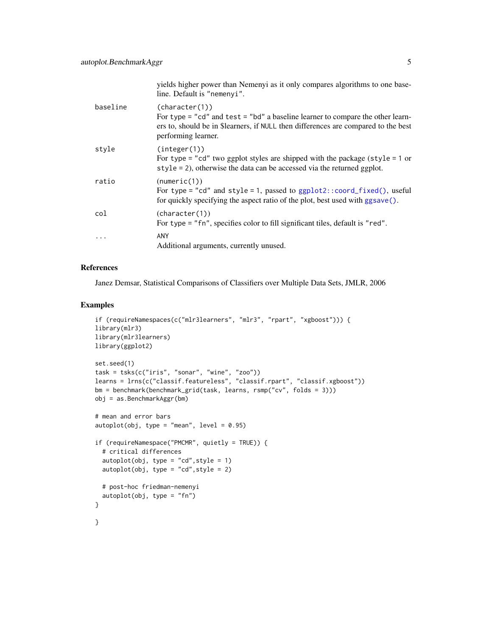<span id="page-4-0"></span>

|          | yields higher power than Nemenyi as it only compares algorithms to one base-<br>line. Default is "nemenyi".                                                                                                   |
|----------|---------------------------------------------------------------------------------------------------------------------------------------------------------------------------------------------------------------|
| baseline | (character(1))<br>For type = "cd" and test = "bd" a baseline learner to compare the other learn-<br>ers to, should be in \$learners, if NULL then differences are compared to the best<br>performing learner. |
| style    | (integer(1))<br>For type = "cd" two ggplot styles are shipped with the package (style = $1$ or<br>style = 2), otherwise the data can be accessed via the returned ggplot.                                     |
| ratio    | (numeric(1))<br>For type = "cd" and style = 1, passed to $ggplot2::coord_fixed(), useful$<br>for quickly specifying the aspect ratio of the plot, best used with ggsave().                                    |
| col      | (character(1))<br>For type = "fn", specifies color to fill significant tiles, default is "red".                                                                                                               |
| .        | <b>ANY</b><br>Additional arguments, currently unused.                                                                                                                                                         |

#### References

Janez Demsar, Statistical Comparisons of Classifiers over Multiple Data Sets, JMLR, 2006

#### Examples

```
if (requireNamespaces(c("mlr3learners", "mlr3", "rpart", "xgboost"))) {
library(mlr3)
library(mlr3learners)
library(ggplot2)
set.seed(1)
task = tsks(c("iris", "sonar", "wine", "zoo"))
learns = lrns(c("classif.featureless", "classif.rpart", "classif.xgboost"))
bm = benchmark(benchmark_grid(task, learns, rsmp("cv", folds = 3)))
obj = as.BenchmarkAggr(bm)
# mean and error bars
autoplot(obj, type = "mean", level = 0.95)
if (requireNamespace("PMCMR", quietly = TRUE)) {
  # critical differences
  autoplot(obj, type = "cd", style = 1)autoplot(obj, type = "cd", style = 2)# post-hoc friedman-nemenyi
  autoplot(obj, type = "fn")
}
}
```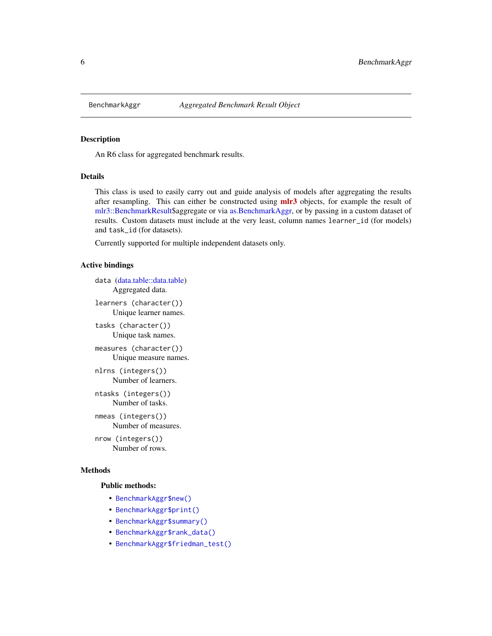<span id="page-5-1"></span><span id="page-5-0"></span>

#### Description

An R6 class for aggregated benchmark results.

#### Details

This class is used to easily carry out and guide analysis of models after aggregating the results after resampling. This can either be constructed using **[mlr3](https://CRAN.R-project.org/package=mlr3)** objects, for example the result of [mlr3::BenchmarkResult\\$](#page-0-0)aggregate or via [as.BenchmarkAggr,](#page-1-1) or by passing in a custom dataset of results. Custom datasets must include at the very least, column names learner\_id (for models) and task\_id (for datasets).

Currently supported for multiple independent datasets only.

#### Active bindings

```
data (data.table::data.table)
     Aggregated data.
```
learners (character()) Unique learner names.

tasks (character()) Unique task names.

measures (character()) Unique measure names.

nlrns (integers()) Number of learners.

ntasks (integers()) Number of tasks.

nmeas (integers()) Number of measures.

nrow (integers()) Number of rows.

#### Methods

#### Public methods:

- [BenchmarkAggr\\$new\(\)](#page-6-0)
- [BenchmarkAggr\\$print\(\)](#page-6-1)
- [BenchmarkAggr\\$summary\(\)](#page-6-2)
- [BenchmarkAggr\\$rank\\_data\(\)](#page-6-3)
- [BenchmarkAggr\\$friedman\\_test\(\)](#page-7-0)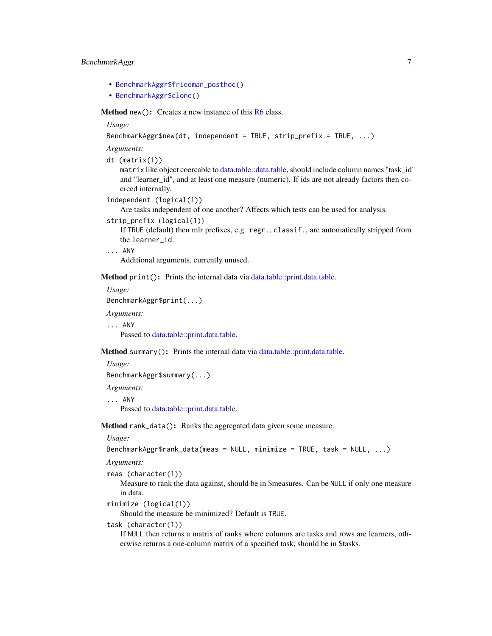#### <span id="page-6-4"></span>BenchmarkAggr 7

- [BenchmarkAggr\\$friedman\\_posthoc\(\)](#page-7-1)
- [BenchmarkAggr\\$clone\(\)](#page-7-2)

<span id="page-6-0"></span>Method new(): Creates a new instance of this [R6](#page-0-0) class.

*Usage:*

```
BenchmarkAggr$new(dt, independent = TRUE, strip_prefix = TRUE, ...)
```
*Arguments:*

```
dt (matrix(1))
```
matrix like object coercable to [data.table::data.table,](#page-0-0) should include column names "task\_id" and "learner\_id", and at least one measure (numeric). If ids are not already factors then coerced internally.

```
independent (logical(1))
```
Are tasks independent of one another? Affects which tests can be used for analysis.

```
strip_prefix (logical(1))
```
If TRUE (default) then mlr prefixes, e.g. regr., classif., are automatically stripped from the learner\_id.

... ANY

Additional arguments, currently unused.

<span id="page-6-1"></span>Method print(): Prints the internal data via [data.table::print.data.table.](#page-0-0)

```
Usage:
BenchmarkAggr$print(...)
```
*Arguments:*

... ANY

Passed to [data.table::print.data.table.](#page-0-0)

<span id="page-6-2"></span>Method summary(): Prints the internal data via [data.table::print.data.table.](#page-0-0)

*Usage:*

```
BenchmarkAggr$summary(...)
```
*Arguments:*

... ANY

Passed to [data.table::print.data.table.](#page-0-0)

<span id="page-6-3"></span>Method rank\_data(): Ranks the aggregated data given some measure.

*Usage:*

```
BenchmarkAggr$rank_data(meas = NULL, minimize = TRUE, task = NULL, ...)
```
*Arguments:*

meas (character(1))

Measure to rank the data against, should be in \$measures. Can be NULL if only one measure in data.

```
minimize (logical(1))
```
Should the measure be minimized? Default is TRUE.

task (character(1))

If NULL then returns a matrix of ranks where columns are tasks and rows are learners, otherwise returns a one-column matrix of a specified task, should be in \$tasks.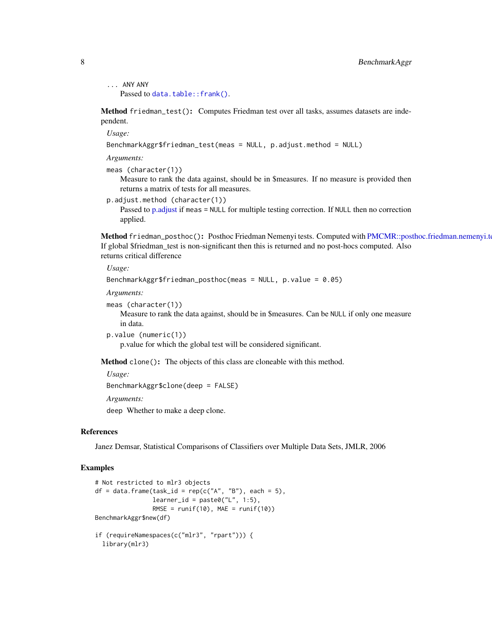#### <span id="page-7-3"></span>8 BenchmarkAggr

```
... ANY ANY
  data.table::frank().
```
<span id="page-7-0"></span>Method friedman\_test(): Computes Friedman test over all tasks, assumes datasets are independent.

*Usage:*

```
BenchmarkAggr$friedman_test(meas = NULL, p.adjust.method = NULL)
```
*Arguments:*

meas (character(1))

Measure to rank the data against, should be in \$measures. If no measure is provided then returns a matrix of tests for all measures.

p.adjust.method (character(1))

Passed to [p.adjust](#page-0-0) if meas = NULL for multiple testing correction. If NULL then no correction applied.

<span id="page-7-1"></span>Method friedman\_posthoc(): Posthoc Friedman Nemenyi tests. Computed with [PMCMR::posthoc.friedman.nemenyi.test.](#page-0-0) If global \$friedman\_test is non-significant then this is returned and no post-hocs computed. Also returns critical difference

#### *Usage:*

```
BenchmarkAggr$friedman_posthoc(meas = NULL, p.value = 0.05)
```
*Arguments:*

```
meas (character(1))
```
Measure to rank the data against, should be in \$measures. Can be NULL if only one measure in data.

```
p.value (numeric(1))
```
p.value for which the global test will be considered significant.

<span id="page-7-2"></span>Method clone(): The objects of this class are cloneable with this method.

```
Usage:
BenchmarkAggr$clone(deep = FALSE)
Arguments:
deep Whether to make a deep clone.
```
#### References

Janez Demsar, Statistical Comparisons of Classifiers over Multiple Data Sets, JMLR, 2006

#### Examples

```
# Not restricted to mlr3 objects
df = data frame(task_id = rep(c("A", "B"), each = 5),learner_id = paste0("L", 1:5),RMSE = runif(10), MAE = runif(10))
BenchmarkAggr$new(df)
if (requireNamespaces(c("mlr3", "rpart"))) {
 library(mlr3)
```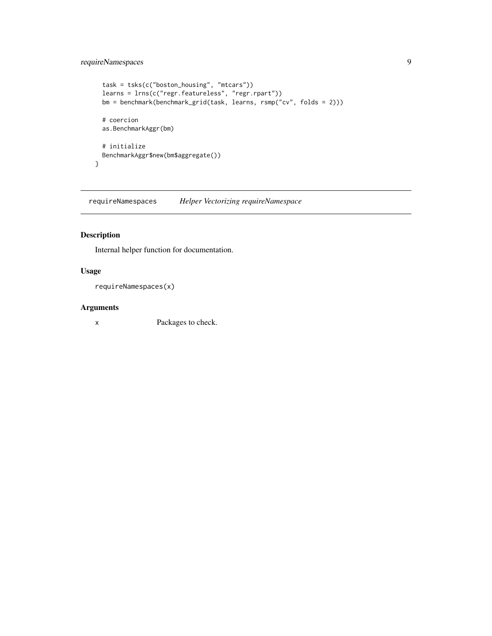#### <span id="page-8-0"></span>requireNamespaces 9

```
task = tsks(c("boston_housing", "mtcars"))
  learns = lrns(c("regr.featureless", "regr.rpart"))
  bm = benchmark(benchmark_grid(task, learns, rsmp("cv", folds = 2)))
 # coercion
 as.BenchmarkAggr(bm)
 # initialize
 BenchmarkAggr$new(bm$aggregate())
}
```
requireNamespaces *Helper Vectorizing requireNamespace*

#### Description

Internal helper function for documentation.

#### Usage

requireNamespaces(x)

#### Arguments

x Packages to check.